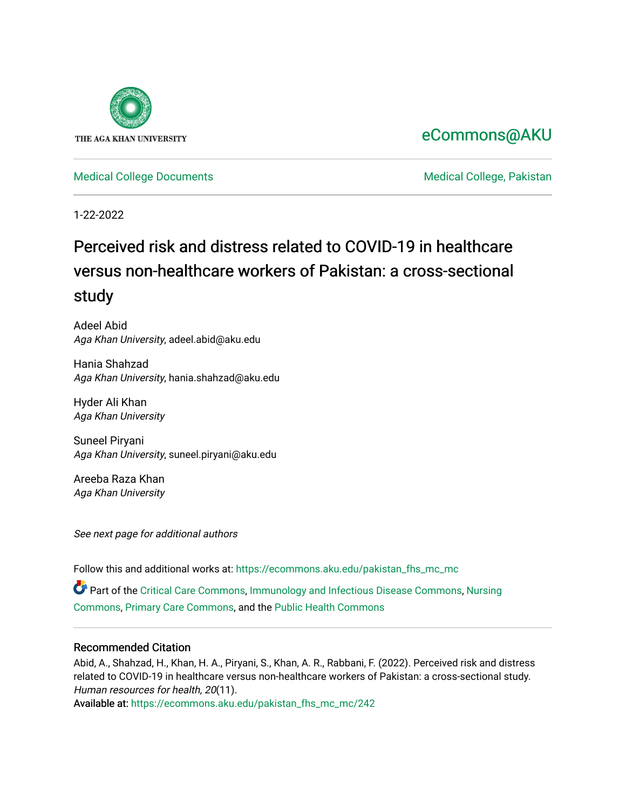

## [eCommons@AKU](https://ecommons.aku.edu/)

[Medical College Documents](https://ecommons.aku.edu/pakistan_fhs_mc_mc) **Medical College, Pakistan** 

1-22-2022

# Perceived risk and distress related to COVID-19 in healthcare versus non-healthcare workers of Pakistan: a cross-sectional study

Adeel Abid Aga Khan University, adeel.abid@aku.edu

Hania Shahzad Aga Khan University, hania.shahzad@aku.edu

Hyder Ali Khan Aga Khan University

Suneel Piryani Aga Khan University, suneel.piryani@aku.edu

Areeba Raza Khan Aga Khan University

See next page for additional authors

Follow this and additional works at: [https://ecommons.aku.edu/pakistan\\_fhs\\_mc\\_mc](https://ecommons.aku.edu/pakistan_fhs_mc_mc?utm_source=ecommons.aku.edu%2Fpakistan_fhs_mc_mc%2F242&utm_medium=PDF&utm_campaign=PDFCoverPages) 

Part of the [Critical Care Commons,](http://network.bepress.com/hgg/discipline/1226?utm_source=ecommons.aku.edu%2Fpakistan_fhs_mc_mc%2F242&utm_medium=PDF&utm_campaign=PDFCoverPages) [Immunology and Infectious Disease Commons,](http://network.bepress.com/hgg/discipline/33?utm_source=ecommons.aku.edu%2Fpakistan_fhs_mc_mc%2F242&utm_medium=PDF&utm_campaign=PDFCoverPages) [Nursing](http://network.bepress.com/hgg/discipline/718?utm_source=ecommons.aku.edu%2Fpakistan_fhs_mc_mc%2F242&utm_medium=PDF&utm_campaign=PDFCoverPages) [Commons](http://network.bepress.com/hgg/discipline/718?utm_source=ecommons.aku.edu%2Fpakistan_fhs_mc_mc%2F242&utm_medium=PDF&utm_campaign=PDFCoverPages), [Primary Care Commons,](http://network.bepress.com/hgg/discipline/1092?utm_source=ecommons.aku.edu%2Fpakistan_fhs_mc_mc%2F242&utm_medium=PDF&utm_campaign=PDFCoverPages) and the [Public Health Commons](http://network.bepress.com/hgg/discipline/738?utm_source=ecommons.aku.edu%2Fpakistan_fhs_mc_mc%2F242&utm_medium=PDF&utm_campaign=PDFCoverPages)

## Recommended Citation

Abid, A., Shahzad, H., Khan, H. A., Piryani, S., Khan, A. R., Rabbani, F. (2022). Perceived risk and distress related to COVID-19 in healthcare versus non-healthcare workers of Pakistan: a cross-sectional study. Human resources for health, 20(11).

Available at: [https://ecommons.aku.edu/pakistan\\_fhs\\_mc\\_mc/242](https://ecommons.aku.edu/pakistan_fhs_mc_mc/242)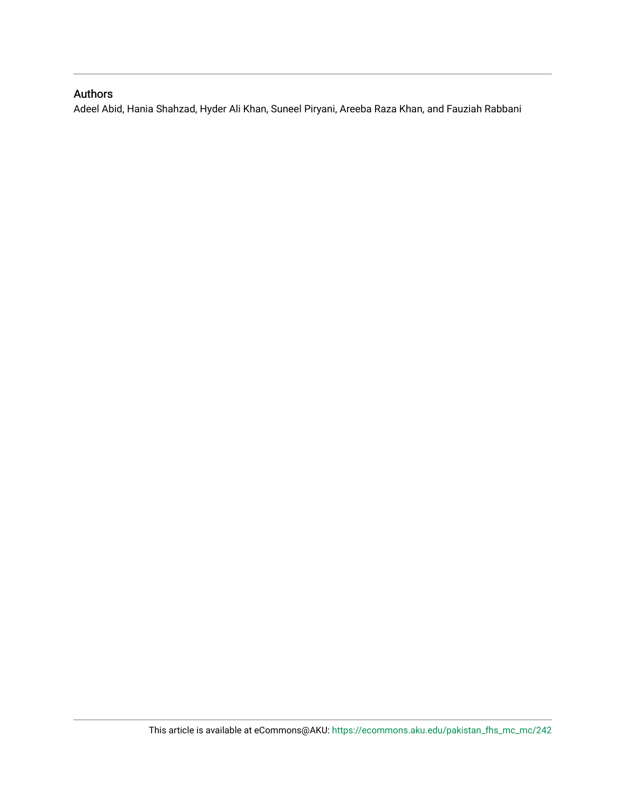## Authors

Adeel Abid, Hania Shahzad, Hyder Ali Khan, Suneel Piryani, Areeba Raza Khan, and Fauziah Rabbani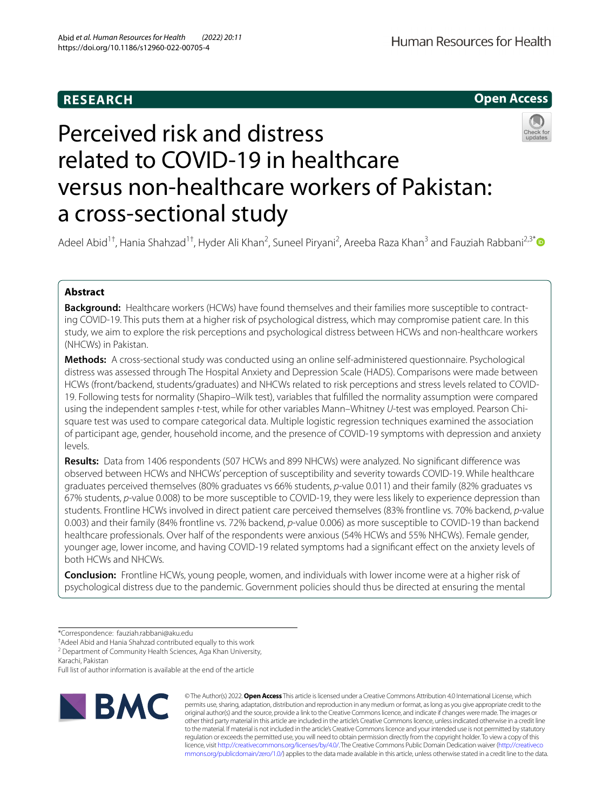## **Open Access**



# Perceived risk and distress related to COVID-19 in healthcare versus non-healthcare workers of Pakistan: a cross-sectional study

Adeel Abid<sup>1†</sup>, Hania Shahzad<sup>1†</sup>, Hyder Ali Khan<sup>2</sup>, Suneel Piryani<sup>2</sup>, Areeba Raza Khan<sup>3</sup> and Fauziah Rabbani<sup>2,3[\\*](http://orcid.org/0000-0001-6913-7564)</sup>

### **Abstract**

**Background:** Healthcare workers (HCWs) have found themselves and their families more susceptible to contracting COVID-19. This puts them at a higher risk of psychological distress, which may compromise patient care. In this study, we aim to explore the risk perceptions and psychological distress between HCWs and non-healthcare workers (NHCWs) in Pakistan.

**Methods:** A cross-sectional study was conducted using an online self-administered questionnaire. Psychological distress was assessed through The Hospital Anxiety and Depression Scale (HADS). Comparisons were made between HCWs (front/backend, students/graduates) and NHCWs related to risk perceptions and stress levels related to COVID-19. Following tests for normality (Shapiro–Wilk test), variables that fulflled the normality assumption were compared using the independent samples *t*-test, while for other variables Mann–Whitney *U*-test was employed. Pearson Chisquare test was used to compare categorical data. Multiple logistic regression techniques examined the association of participant age, gender, household income, and the presence of COVID-19 symptoms with depression and anxiety levels.

**Results:** Data from 1406 respondents (507 HCWs and 899 NHCWs) were analyzed. No signifcant diference was observed between HCWs and NHCWs' perception of susceptibility and severity towards COVID-19. While healthcare graduates perceived themselves (80% graduates vs 66% students, *p*-value 0.011) and their family (82% graduates vs 67% students, *p*-value 0.008) to be more susceptible to COVID-19, they were less likely to experience depression than students. Frontline HCWs involved in direct patient care perceived themselves (83% frontline vs. 70% backend, *p*-value 0.003) and their family (84% frontline vs. 72% backend, *p*-value 0.006) as more susceptible to COVID-19 than backend healthcare professionals. Over half of the respondents were anxious (54% HCWs and 55% NHCWs). Female gender, younger age, lower income, and having COVID-19 related symptoms had a signifcant efect on the anxiety levels of both HCWs and NHCWs.

**Conclusion:** Frontline HCWs, young people, women, and individuals with lower income were at a higher risk of psychological distress due to the pandemic. Government policies should thus be directed at ensuring the mental

Full list of author information is available at the end of the article



© The Author(s) 2022. **Open Access** This article is licensed under a Creative Commons Attribution 4.0 International License, which permits use, sharing, adaptation, distribution and reproduction in any medium or format, as long as you give appropriate credit to the original author(s) and the source, provide a link to the Creative Commons licence, and indicate if changes were made. The images or other third party material in this article are included in the article's Creative Commons licence, unless indicated otherwise in a credit line to the material. If material is not included in the article's Creative Commons licence and your intended use is not permitted by statutory regulation or exceeds the permitted use, you will need to obtain permission directly from the copyright holder. To view a copy of this licence, visit [http://creativecommons.org/licenses/by/4.0/.](http://creativecommons.org/licenses/by/4.0/) The Creative Commons Public Domain Dedication waiver ([http://creativeco](http://creativecommons.org/publicdomain/zero/1.0/) [mmons.org/publicdomain/zero/1.0/](http://creativecommons.org/publicdomain/zero/1.0/)) applies to the data made available in this article, unless otherwise stated in a credit line to the data.

<sup>\*</sup>Correspondence: fauziah.rabbani@aku.edu

<sup>†</sup> Adeel Abid and Hania Shahzad contributed equally to this work

<sup>&</sup>lt;sup>2</sup> Department of Community Health Sciences, Aga Khan University,

Karachi, Pakistan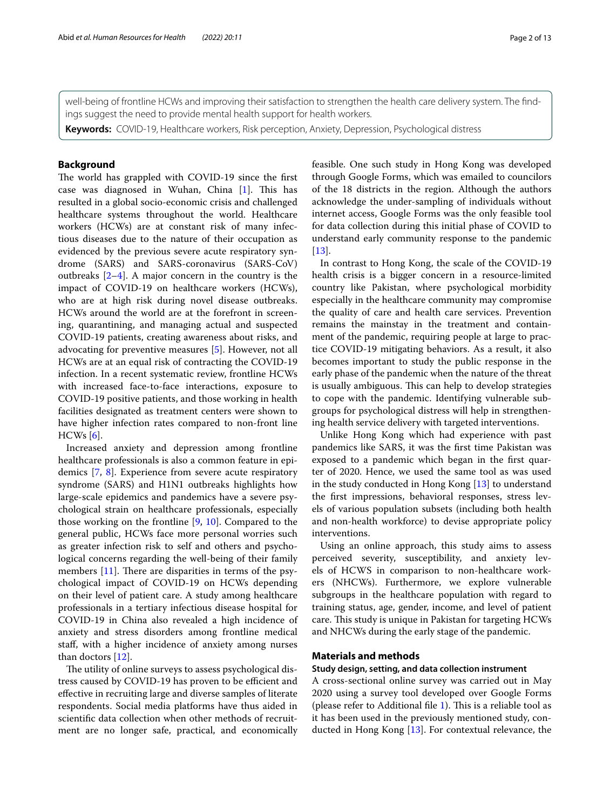well-being of frontline HCWs and improving their satisfaction to strengthen the health care delivery system. The fndings suggest the need to provide mental health support for health workers.

**Keywords:** COVID-19, Healthcare workers, Risk perception, Anxiety, Depression, Psychological distress

#### **Background**

The world has grappled with COVID-19 since the first case was diagnosed in Wuhan, China  $[1]$  $[1]$ . This has resulted in a global socio-economic crisis and challenged healthcare systems throughout the world. Healthcare workers (HCWs) are at constant risk of many infectious diseases due to the nature of their occupation as evidenced by the previous severe acute respiratory syndrome (SARS) and SARS-coronavirus (SARS-CoV) outbreaks [[2–](#page-13-1)[4\]](#page-13-2). A major concern in the country is the impact of COVID-19 on healthcare workers (HCWs), who are at high risk during novel disease outbreaks. HCWs around the world are at the forefront in screening, quarantining, and managing actual and suspected COVID-19 patients, creating awareness about risks, and advocating for preventive measures [\[5](#page-13-3)]. However, not all HCWs are at an equal risk of contracting the COVID-19 infection. In a recent systematic review, frontline HCWs with increased face-to-face interactions, exposure to COVID-19 positive patients, and those working in health facilities designated as treatment centers were shown to have higher infection rates compared to non-front line HCWs [[6\]](#page-13-4).

Increased anxiety and depression among frontline healthcare professionals is also a common feature in epidemics [[7](#page-13-5), [8](#page-13-6)]. Experience from severe acute respiratory syndrome (SARS) and H1N1 outbreaks highlights how large-scale epidemics and pandemics have a severe psychological strain on healthcare professionals, especially those working on the frontline [[9,](#page-13-7) [10\]](#page-13-8). Compared to the general public, HCWs face more personal worries such as greater infection risk to self and others and psychological concerns regarding the well-being of their family members  $[11]$  $[11]$ . There are disparities in terms of the psychological impact of COVID-19 on HCWs depending on their level of patient care. A study among healthcare professionals in a tertiary infectious disease hospital for COVID-19 in China also revealed a high incidence of anxiety and stress disorders among frontline medical staf, with a higher incidence of anxiety among nurses than doctors [[12\]](#page-13-10).

The utility of online surveys to assess psychological distress caused by COVID-19 has proven to be efficient and efective in recruiting large and diverse samples of literate respondents. Social media platforms have thus aided in scientifc data collection when other methods of recruitment are no longer safe, practical, and economically feasible. One such study in Hong Kong was developed through Google Forms, which was emailed to councilors of the 18 districts in the region. Although the authors acknowledge the under-sampling of individuals without internet access, Google Forms was the only feasible tool for data collection during this initial phase of COVID to understand early community response to the pandemic [[13\]](#page-13-11).

In contrast to Hong Kong, the scale of the COVID-19 health crisis is a bigger concern in a resource-limited country like Pakistan, where psychological morbidity especially in the healthcare community may compromise the quality of care and health care services. Prevention remains the mainstay in the treatment and containment of the pandemic, requiring people at large to practice COVID-19 mitigating behaviors. As a result, it also becomes important to study the public response in the early phase of the pandemic when the nature of the threat is usually ambiguous. This can help to develop strategies to cope with the pandemic. Identifying vulnerable subgroups for psychological distress will help in strengthening health service delivery with targeted interventions.

Unlike Hong Kong which had experience with past pandemics like SARS, it was the frst time Pakistan was exposed to a pandemic which began in the frst quarter of 2020. Hence, we used the same tool as was used in the study conducted in Hong Kong [\[13](#page-13-11)] to understand the frst impressions, behavioral responses, stress levels of various population subsets (including both health and non-health workforce) to devise appropriate policy interventions.

Using an online approach, this study aims to assess perceived severity, susceptibility, and anxiety levels of HCWS in comparison to non-healthcare workers (NHCWs). Furthermore, we explore vulnerable subgroups in the healthcare population with regard to training status, age, gender, income, and level of patient care. This study is unique in Pakistan for targeting HCWs and NHCWs during the early stage of the pandemic.

#### **Materials and methods**

#### **Study design, setting, and data collection instrument**

A cross-sectional online survey was carried out in May 2020 using a survey tool developed over Google Forms (please refer to Additional file  $1$ ). This is a reliable tool as it has been used in the previously mentioned study, conducted in Hong Kong [[13\]](#page-13-11). For contextual relevance, the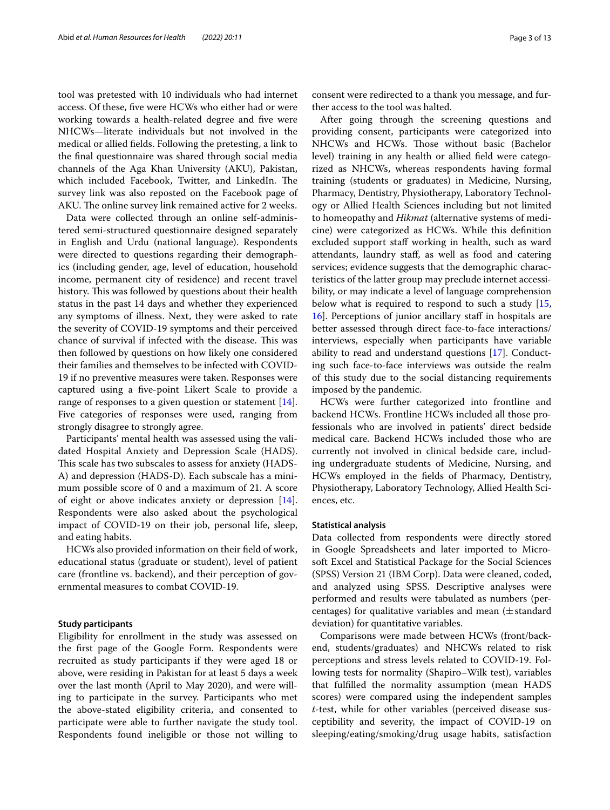tool was pretested with 10 individuals who had internet access. Of these, fve were HCWs who either had or were working towards a health-related degree and five were NHCWs—literate individuals but not involved in the medical or allied felds. Following the pretesting, a link to the fnal questionnaire was shared through social media channels of the Aga Khan University (AKU), Pakistan, which included Facebook, Twitter, and LinkedIn. The survey link was also reposted on the Facebook page of AKU. The online survey link remained active for 2 weeks.

Data were collected through an online self-administered semi-structured questionnaire designed separately in English and Urdu (national language). Respondents were directed to questions regarding their demographics (including gender, age, level of education, household income, permanent city of residence) and recent travel history. This was followed by questions about their health status in the past 14 days and whether they experienced any symptoms of illness. Next, they were asked to rate the severity of COVID-19 symptoms and their perceived chance of survival if infected with the disease. This was then followed by questions on how likely one considered their families and themselves to be infected with COVID-19 if no preventive measures were taken. Responses were captured using a fve-point Likert Scale to provide a range of responses to a given question or statement [\[14](#page-13-13)]. Five categories of responses were used, ranging from strongly disagree to strongly agree.

Participants' mental health was assessed using the validated Hospital Anxiety and Depression Scale (HADS). This scale has two subscales to assess for anxiety (HADS-A) and depression (HADS-D). Each subscale has a minimum possible score of 0 and a maximum of 21. A score of eight or above indicates anxiety or depression [\[14](#page-13-13)]. Respondents were also asked about the psychological impact of COVID-19 on their job, personal life, sleep, and eating habits.

HCWs also provided information on their feld of work, educational status (graduate or student), level of patient care (frontline vs. backend), and their perception of governmental measures to combat COVID-19.

#### **Study participants**

Eligibility for enrollment in the study was assessed on the frst page of the Google Form. Respondents were recruited as study participants if they were aged 18 or above, were residing in Pakistan for at least 5 days a week over the last month (April to May 2020), and were willing to participate in the survey. Participants who met the above-stated eligibility criteria, and consented to participate were able to further navigate the study tool. Respondents found ineligible or those not willing to

consent were redirected to a thank you message, and further access to the tool was halted.

After going through the screening questions and providing consent, participants were categorized into NHCWs and HCWs. Those without basic (Bachelor level) training in any health or allied feld were categorized as NHCWs, whereas respondents having formal training (students or graduates) in Medicine, Nursing, Pharmacy, Dentistry, Physiotherapy, Laboratory Technology or Allied Health Sciences including but not limited to homeopathy and *Hikmat* (alternative systems of medicine) were categorized as HCWs. While this defnition excluded support staff working in health, such as ward attendants, laundry staf, as well as food and catering services; evidence suggests that the demographic characteristics of the latter group may preclude internet accessibility, or may indicate a level of language comprehension below what is required to respond to such a study [[15](#page-13-14), [16\]](#page-13-15). Perceptions of junior ancillary staf in hospitals are better assessed through direct face-to-face interactions/ interviews, especially when participants have variable ability to read and understand questions [[17\]](#page-13-16). Conducting such face-to-face interviews was outside the realm of this study due to the social distancing requirements imposed by the pandemic.

HCWs were further categorized into frontline and backend HCWs. Frontline HCWs included all those professionals who are involved in patients' direct bedside medical care. Backend HCWs included those who are currently not involved in clinical bedside care, including undergraduate students of Medicine, Nursing, and HCWs employed in the felds of Pharmacy, Dentistry, Physiotherapy, Laboratory Technology, Allied Health Sciences, etc.

#### **Statistical analysis**

Data collected from respondents were directly stored in Google Spreadsheets and later imported to Microsoft Excel and Statistical Package for the Social Sciences (SPSS) Version 21 (IBM Corp). Data were cleaned, coded, and analyzed using SPSS. Descriptive analyses were performed and results were tabulated as numbers (percentages) for qualitative variables and mean  $(\pm \text{standard})$ deviation) for quantitative variables.

Comparisons were made between HCWs (front/backend, students/graduates) and NHCWs related to risk perceptions and stress levels related to COVID-19. Following tests for normality (Shapiro–Wilk test), variables that fulflled the normality assumption (mean HADS scores) were compared using the independent samples *t*-test, while for other variables (perceived disease susceptibility and severity, the impact of COVID-19 on sleeping/eating/smoking/drug usage habits, satisfaction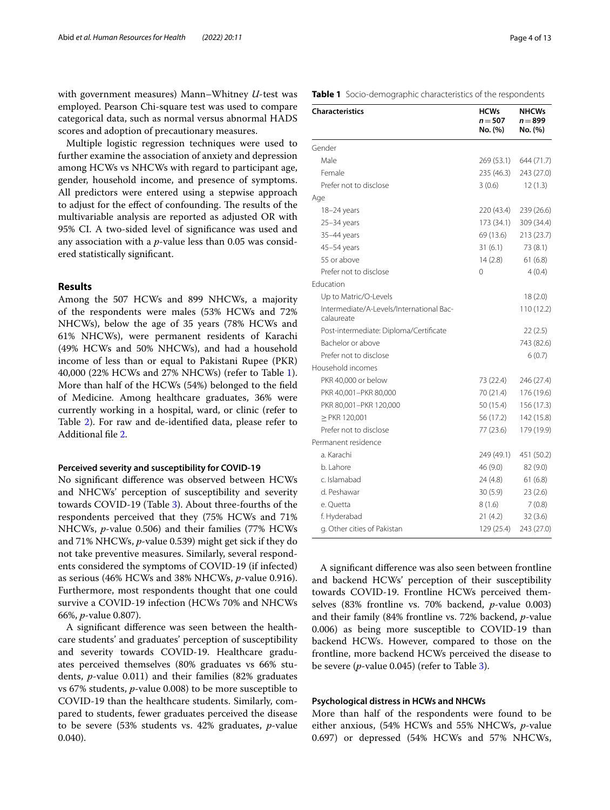with government measures) Mann–Whitney *U*-test was employed. Pearson Chi-square test was used to compare categorical data, such as normal versus abnormal HADS scores and adoption of precautionary measures.

Multiple logistic regression techniques were used to further examine the association of anxiety and depression among HCWs vs NHCWs with regard to participant age, gender, household income, and presence of symptoms. All predictors were entered using a stepwise approach to adjust for the effect of confounding. The results of the multivariable analysis are reported as adjusted OR with 95% CI. A two-sided level of signifcance was used and any association with a *p*-value less than 0.05 was considered statistically signifcant.

#### **Results**

Among the 507 HCWs and 899 NHCWs, a majority of the respondents were males (53% HCWs and 72% NHCWs), below the age of 35 years (78% HCWs and 61% NHCWs), were permanent residents of Karachi (49% HCWs and 50% NHCWs), and had a household income of less than or equal to Pakistani Rupee (PKR) 40,000 (22% HCWs and 27% NHCWs) (refer to Table [1](#page-5-0)). More than half of the HCWs (54%) belonged to the feld of Medicine. Among healthcare graduates, 36% were currently working in a hospital, ward, or clinic (refer to Table [2](#page-6-0)). For raw and de-identifed data, please refer to Additional fle [2](#page-13-17).

#### **Perceived severity and susceptibility for COVID‑19**

No signifcant diference was observed between HCWs and NHCWs' perception of susceptibility and severity towards COVID-19 (Table [3](#page-7-0)). About three-fourths of the respondents perceived that they (75% HCWs and 71% NHCWs, *p*-value 0.506) and their families (77% HCWs and 71% NHCWs, *p*-value 0.539) might get sick if they do not take preventive measures. Similarly, several respondents considered the symptoms of COVID-19 (if infected) as serious (46% HCWs and 38% NHCWs, *p*-value 0.916). Furthermore, most respondents thought that one could survive a COVID-19 infection (HCWs 70% and NHCWs 66%, *p*-value 0.807).

A signifcant diference was seen between the healthcare students' and graduates' perception of susceptibility and severity towards COVID-19. Healthcare graduates perceived themselves (80% graduates vs 66% students, *p*-value 0.011) and their families (82% graduates vs 67% students, *p*-value 0.008) to be more susceptible to COVID-19 than the healthcare students. Similarly, compared to students, fewer graduates perceived the disease to be severe (53% students vs. 42% graduates, *p*-value 0.040).

| Page 4 of 1 |  |
|-------------|--|
|-------------|--|

<span id="page-5-0"></span>

| <b>Characteristics</b>                                 | <b>HCWs</b><br>$n = 507$<br>No. (%) | <b>NHCWs</b><br>n = 899<br>No. (%) |
|--------------------------------------------------------|-------------------------------------|------------------------------------|
| Gender                                                 |                                     |                                    |
| Male                                                   | 269 (53.1)                          | 644 (71.7)                         |
| Female                                                 | 235 (46.3)                          | 243 (27.0)                         |
| Prefer not to disclose                                 | 3(0.6)                              | 12(1.3)                            |
| Age                                                    |                                     |                                    |
| 18–24 years                                            | 220 (43.4)                          | 239 (26.6)                         |
| $25 - 34$ years                                        | 173 (34.1)                          | 309 (34.4)                         |
| 35-44 years                                            | 69 (13.6)                           | 213 (23.7)                         |
| 45-54 years                                            | 31(6.1)                             | 73 (8.1)                           |
| 55 or above                                            | 14(2.8)                             | 61(6.8)                            |
| Prefer not to disclose                                 | 0                                   | 4(0.4)                             |
| Education                                              |                                     |                                    |
| Up to Matric/O-Levels                                  |                                     | 18(2.0)                            |
| Intermediate/A-Levels/International Bac-<br>calaureate |                                     | 110 (12.2)                         |
| Post-intermediate: Diploma/Certificate                 |                                     | 22 (2.5)                           |
| Bachelor or above                                      |                                     | 743 (82.6)                         |
| Prefer not to disclose                                 |                                     | 6(0.7)                             |
| Household incomes                                      |                                     |                                    |
| PKR 40,000 or below                                    | 73 (22.4)                           | 246 (27.4)                         |
| PKR 40,001-PKR 80,000                                  | 70 (21.4)                           | 176 (19.6)                         |
| PKR 80,001-PKR 120,000                                 | 50 (15.4)                           | 156 (17.3)                         |
| $\geq$ PKR 120,001                                     | 56 (17.2)                           | 142 (15.8)                         |
| Prefer not to disclose                                 | 77 (23.6)                           | 179 (19.9)                         |
| Permanent residence                                    |                                     |                                    |
| a. Karachi                                             | 249 (49.1)                          | 451 (50.2)                         |
| b. Lahore                                              | 46 (9.0)                            | 82 (9.0)                           |
| c. Islamabad                                           | 24 (4.8)                            | 61(6.8)                            |
| d. Peshawar                                            | 30(5.9)                             | 23(2.6)                            |
| e. Quetta                                              | 8(1.6)                              | 7(0.8)                             |
| f. Hyderabad                                           | 21(4.2)                             | 32(3.6)                            |
| g. Other cities of Pakistan                            | 129 (25.4)                          | 243 (27.0)                         |

A signifcant diference was also seen between frontline and backend HCWs' perception of their susceptibility towards COVID-19. Frontline HCWs perceived themselves (83% frontline vs. 70% backend, *p*-value 0.003) and their family (84% frontline vs. 72% backend, *p*-value 0.006) as being more susceptible to COVID-19 than backend HCWs. However, compared to those on the frontline, more backend HCWs perceived the disease to be severe (*p*-value 0.045) (refer to Table [3\)](#page-7-0).

#### **Psychological distress in HCWs and NHCWs**

More than half of the respondents were found to be either anxious, (54% HCWs and 55% NHCWs, *p*-value 0.697) or depressed (54% HCWs and 57% NHCWs,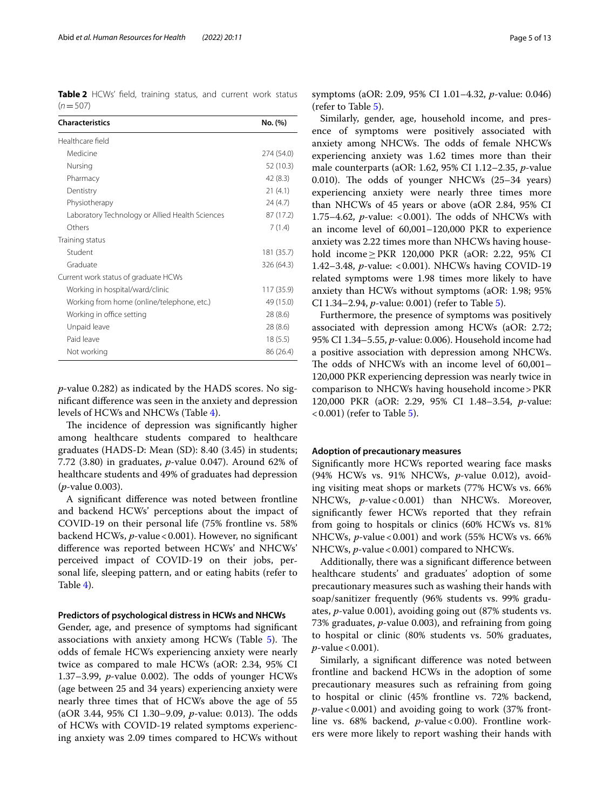<span id="page-6-0"></span>**Table 2** HCWs' feld, training status, and current work status  $(n=507)$ 

| <b>Characteristics</b>                          | No. (%)    |
|-------------------------------------------------|------------|
| Healthcare field                                |            |
| Medicine                                        | 274 (54.0) |
| Nursing                                         | 52 (10.3)  |
| Pharmacy                                        | 42(8.3)    |
| Dentistry                                       | 21(4.1)    |
| Physiotherapy                                   | 24(4.7)    |
| Laboratory Technology or Allied Health Sciences | 87 (17.2)  |
| Others                                          | 7(1.4)     |
| Training status                                 |            |
| Student                                         | 181 (35.7) |
| Graduate                                        | 326 (64.3) |
| Current work status of graduate HCWs            |            |
| Working in hospital/ward/clinic                 | 117 (35.9) |
| Working from home (online/telephone, etc.)      | 49 (15.0)  |
| Working in office setting                       | 28(8.6)    |
| Unpaid leave                                    | 28(8.6)    |
| Paid leave                                      | 18(5.5)    |
| Not working                                     | 86 (26.4)  |

*p*-value 0.282) as indicated by the HADS scores. No signifcant diference was seen in the anxiety and depression levels of HCWs and NHCWs (Table [4\)](#page-8-0).

The incidence of depression was significantly higher among healthcare students compared to healthcare graduates (HADS-D: Mean (SD): 8.40 (3.45) in students; 7.72 (3.80) in graduates, *p*-value 0.047). Around 62% of healthcare students and 49% of graduates had depression (*p*-value 0.003).

A signifcant diference was noted between frontline and backend HCWs' perceptions about the impact of COVID-19 on their personal life (75% frontline vs. 58% backend HCWs, *p*-value<0.001). However, no signifcant diference was reported between HCWs' and NHCWs' perceived impact of COVID-19 on their jobs, personal life, sleeping pattern, and or eating habits (refer to Table [4](#page-8-0)).

#### **Predictors of psychological distress in HCWs and NHCWs**

Gender, age, and presence of symptoms had signifcant associations with anxiety among HCWs (Table [5\)](#page-9-0). The odds of female HCWs experiencing anxiety were nearly twice as compared to male HCWs (aOR: 2.34, 95% CI 1.37–3.99,  $p$ -value 0.002). The odds of younger HCWs (age between 25 and 34 years) experiencing anxiety were nearly three times that of HCWs above the age of 55 (aOR 3.44, 95% CI 1.30–9.09, *p*-value: 0.013). The odds of HCWs with COVID-19 related symptoms experiencing anxiety was 2.09 times compared to HCWs without symptoms (aOR: 2.09, 95% CI 1.01–4.32, *p*-value: 0.046) (refer to Table [5\)](#page-9-0).

Similarly, gender, age, household income, and presence of symptoms were positively associated with anxiety among NHCWs. The odds of female NHCWs experiencing anxiety was 1.62 times more than their male counterparts (aOR: 1.62, 95% CI 1.12–2.35, *p*-value 0.010). The odds of younger NHCWs  $(25-34 \text{ years})$ experiencing anxiety were nearly three times more than NHCWs of 45 years or above (aOR 2.84, 95% CI 1.75–4.62, *p*-value: <0.001). The odds of NHCWs with an income level of 60,001–120,000 PKR to experience anxiety was 2.22 times more than NHCWs having household income≥PKR 120,000 PKR (aOR: 2.22, 95% CI 1.42–3.48, *p*-value: <0.001). NHCWs having COVID-19 related symptoms were 1.98 times more likely to have anxiety than HCWs without symptoms (aOR: 1.98; 95% CI 1.34–2.94, *p*-value: 0.001) (refer to Table [5\)](#page-9-0).

Furthermore, the presence of symptoms was positively associated with depression among HCWs (aOR: 2.72; 95% CI 1.34–5.55, *p*-value: 0.006). Household income had a positive association with depression among NHCWs. The odds of NHCWs with an income level of  $60,001-$ 120,000 PKR experiencing depression was nearly twice in comparison to NHCWs having household income>PKR 120,000 PKR (aOR: 2.29, 95% CI 1.48–3.54, *p*-value:  $(0.001)$  (refer to Table [5\)](#page-9-0).

#### **Adoption of precautionary measures**

Signifcantly more HCWs reported wearing face masks (94% HCWs vs. 91% NHCWs, *p*-value 0.012), avoiding visiting meat shops or markets (77% HCWs vs. 66% NHCWs, *p*-value < 0.001) than NHCWs. Moreover, signifcantly fewer HCWs reported that they refrain from going to hospitals or clinics (60% HCWs vs. 81% NHCWs, *p*-value<0.001) and work (55% HCWs vs. 66% NHCWs, *p*-value < 0.001) compared to NHCWs.

Additionally, there was a signifcant diference between healthcare students' and graduates' adoption of some precautionary measures such as washing their hands with soap/sanitizer frequently (96% students vs. 99% graduates, *p*-value 0.001), avoiding going out (87% students vs. 73% graduates, *p*-value 0.003), and refraining from going to hospital or clinic (80% students vs. 50% graduates, *p*-value < 0.001).

Similarly, a signifcant diference was noted between frontline and backend HCWs in the adoption of some precautionary measures such as refraining from going to hospital or clinic (45% frontline vs. 72% backend,  $p$ -value < 0.001) and avoiding going to work (37% frontline vs. 68% backend, *p*-value < 0.00). Frontline workers were more likely to report washing their hands with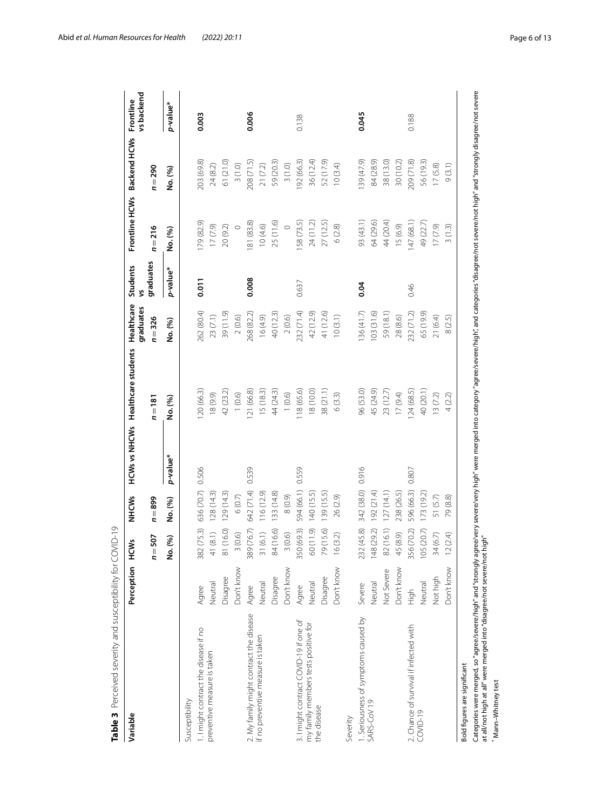| Variable                                                                                                                                | Perception | HCWs                            | <b>NHCMS</b> |          | HCWs vs NHCWs Healthcare students                                                                                                                        | Healthcare<br>graduates | Students  |           | Frontline HCWs<br>Backend HCWs | vs backend<br>Frontline |
|-----------------------------------------------------------------------------------------------------------------------------------------|------------|---------------------------------|--------------|----------|----------------------------------------------------------------------------------------------------------------------------------------------------------|-------------------------|-----------|-----------|--------------------------------|-------------------------|
|                                                                                                                                         |            | 507<br>$\overline{\phantom{a}}$ | $n = 899$    |          | $n = 181$                                                                                                                                                | $n = 326$               | graduates | $n = 216$ | $n=290$                        |                         |
|                                                                                                                                         |            | (%)<br>ġ                        | No. (%)      | p-value* | No. (%)                                                                                                                                                  | No. (%)                 | p-value*  | No. (%)   | No. (%)                        | p-value*                |
| Susceptibility                                                                                                                          |            |                                 |              |          |                                                                                                                                                          |                         |           |           |                                |                         |
| 1. I might contract the disease if no                                                                                                   | Agree      | (75.3)<br>382                   | 636 (70.7)   | 0.506    | 20 (66.3)                                                                                                                                                | 262 (80.4)              | 0.011     | 79 (82.9) | 203 (69.8)                     | 0.003                   |
| preventive measure is taken                                                                                                             | Neutral    | (8.1)<br>₹                      | 128(14.3)    |          | 18 (9.9)                                                                                                                                                 | 23(7.1)                 |           | (5/1)     | 24(8.2)                        |                         |
|                                                                                                                                         | Disagree   | (16.0)<br>$\overline{\infty}$   | 129(14.3)    |          | 42 (23.2)                                                                                                                                                | 39 (11.9)               |           | 20 (9.2)  | 61 (21.0)                      |                         |
|                                                                                                                                         | Don't know | $(0.6)$                         | $6(0.7)$     |          | (0.6)                                                                                                                                                    | 2(0.6)                  |           | $\circ$   | 3(1.0)                         |                         |
| 2. My family might contract the disease<br>if no preventive measure is taken                                                            | Agree      | (76.7)<br>389                   | 642 (71.4)   | 0.539    | 21 (66.8)                                                                                                                                                | 268 (82.2)              | 0.008     | 81 (83.8) | 208 (71.5)                     | 0.006                   |
|                                                                                                                                         | Neutral    | (6.1)<br>$\overline{\gamma}$    | 116(12.9)    |          | 15(18.3)                                                                                                                                                 | 16(4.9)                 |           | 10(4.6)   | 21(7.2)                        |                         |
|                                                                                                                                         | Disagree   | (16.6)<br>$\infty$              | 133 (14.8)   |          | 44 (24.3)                                                                                                                                                | 40 (12.3)               |           | 25 (11.6) | 59 (20.3)                      |                         |
|                                                                                                                                         | Don't know | (0.6)                           | (6.0)8       |          | (0.6)                                                                                                                                                    | 2(0.6)                  |           | $\circ$   | 3(1.0)                         |                         |
| 3. I might contract COVID-19 if one of                                                                                                  | Agree      | (69.3)<br>350                   | 594 (66.1)   | 0.559    | 18 (65.6)                                                                                                                                                | 232 (71.4)              | 0.637     | 58 (73.5) | 92 (66.3)                      | 0.138                   |
| my family members tests positive for                                                                                                    | Neutral    | (11.9)<br>$\infty$              | 140 (15.5)   |          | 18 (10.0)                                                                                                                                                | 42 (12.9)               |           | 24 (11.2) | 36 (12.4)                      |                         |
| the disease                                                                                                                             | Disagree   | (15.6)<br>56                    | 139 (15.5)   |          | 38 (21.1)                                                                                                                                                | 41 (12.6)               |           | 27 (12.5) | 52 (17.9)                      |                         |
|                                                                                                                                         | Don't know | (3.2)<br>$\frac{6}{2}$          | 26 (2.9)     |          | 6(3.3)                                                                                                                                                   | 10(3.1)                 |           | 6(2.8)    | 10(3.4)                        |                         |
| Severity                                                                                                                                |            |                                 |              |          |                                                                                                                                                          |                         |           |           |                                |                         |
| . Seriousness of symptoms caused by                                                                                                     | Severe     | (45.8)<br>232                   | 342 (38.0)   | 0.916    | 96 (53.0)                                                                                                                                                | 36 (41.7)               | 0.04      | 93 (43.1) | 39 (47.9)                      | 0.045                   |
| SARS-COV 19                                                                                                                             | Neutral    | (29.2)<br>148                   | (51.192)     |          | 45 (24.9)                                                                                                                                                | 103(31.6)               |           | 64 (29.6) | 84 (28.9)                      |                         |
|                                                                                                                                         | Not Severe | (16.1)<br>$\otimes$             | 127(14.1)    |          | 23(12.7)                                                                                                                                                 | 59 (18.1)               |           | 44 (20.4) | 38 (13.0)                      |                         |
|                                                                                                                                         | Don't know | (8.9)<br>45                     | 238 (26.5)   |          | 17(9.4)                                                                                                                                                  | 28 (8.6)                |           | 15(6.9)   | 30(10.2)                       |                         |
| 2. Chance of survival if infected with<br>COVID-19                                                                                      | High       | (70.2)<br>356                   | 596 (66.3)   | 0.807    | 124(68.5)                                                                                                                                                | 232 (71.2)              | 0.46      | 147(68.1) | 209 (71.8)                     | 0.188                   |
|                                                                                                                                         | Neutral    | (20.7)<br>105                   | 173(19.2)    |          | 40 (20.1)                                                                                                                                                | 65 (19.9)               |           | 49 (22.7) | 56 (19.3)                      |                         |
|                                                                                                                                         | Not high   | (6.7)<br>$\frac{34}{3}$         | 51 (5.7)     |          | 13(7.2)                                                                                                                                                  | 21 (6.4)                |           | (6/2)     | 17(5.8)                        |                         |
|                                                                                                                                         | Don't know | (2.4)<br>$\approx$              | 79 (8.8)     |          | 4(2.2)                                                                                                                                                   | 8 (2.5)                 |           | 3(1.3)    | 9(3.1)                         |                         |
| Bold figures are significant                                                                                                            |            |                                 |              |          |                                                                                                                                                          |                         |           |           |                                |                         |
| Categories were merged, so "agree/severe/high" and "strongly agr<br>at all/not high at all" were merged into "disagree/not severe/not h |            | igh"                            |              |          | ee/very severe/very high" were merged into category "agree/severe/high", and categories "disagree/not severe/not high" and "strongly disagree/not severe |                         |           |           |                                |                         |
| Mann-Whitney test                                                                                                                       |            |                                 |              |          |                                                                                                                                                          |                         |           |           |                                |                         |

<span id="page-7-0"></span>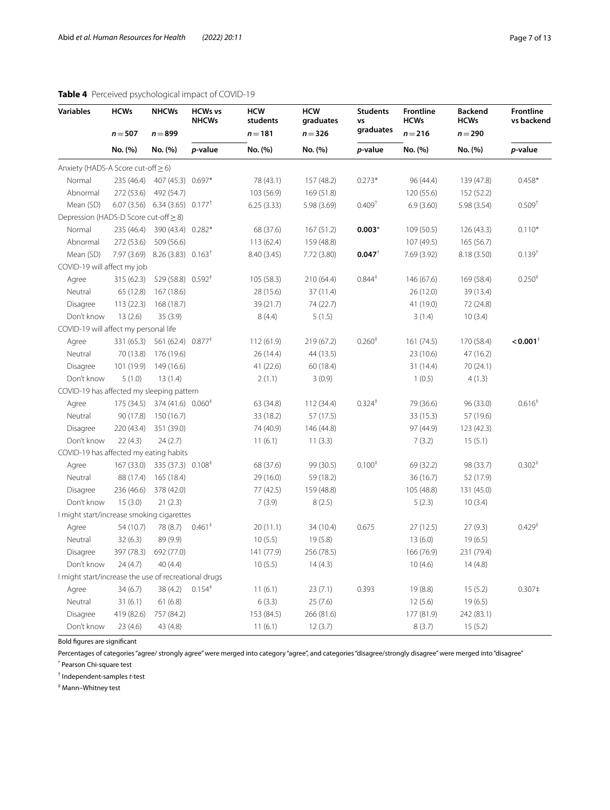#### <span id="page-8-0"></span>**Table 4** Perceived psychological impact of COVID-19

| <b>Variables</b>                      | <b>HCWs</b> | <b>NHCWs</b>                                 | <b>HCWs vs</b><br><b>NHCWs</b> | <b>HCW</b><br>students | <b>HCW</b><br>graduates | <b>Students</b><br>VS | <b>Frontline</b><br><b>HCWs</b> | <b>Backend</b><br><b>HCWs</b> | Frontlin<br>vs back  |
|---------------------------------------|-------------|----------------------------------------------|--------------------------------|------------------------|-------------------------|-----------------------|---------------------------------|-------------------------------|----------------------|
|                                       | $n = 507$   | $n = 899$                                    |                                | $n = 181$              | $n = 326$               | graduates             | $n = 216$                       | $n = 290$                     |                      |
|                                       | No. (%)     | No. (%)                                      | p-value                        | No. (%)                | No. (%)                 | <i>p</i> -value       | No. (%)                         | No. (%)                       | p-value              |
| Anxiety (HADS-A Score cut-off > 6)    |             |                                              |                                |                        |                         |                       |                                 |                               |                      |
| Normal                                | 235 (46.4)  | 407 (45.3)                                   | $0.697*$                       | 78 (43.1)              | 157 (48.2)              | $0.273*$              | 96 (44.4)                       | 139 (47.8)                    | $0.458*$             |
| Abnormal                              | 272 (53.6)  | 492 (54.7)                                   |                                | 103 (56.9)             | 169(51.8)               |                       | 120 (55.6)                      | 152 (52.2)                    |                      |
| Mean (SD)                             | 6.07(3.56)  | 6.34(3.65)                                   | $0.177^+$                      | 6.25(3.33)             | 5.98(3.69)              | 0.409 <sup>†</sup>    | 6.9(3.60)                       | 5.98 (3.54)                   | $0.509$ <sup>1</sup> |
| Depression (HADS-D Score cut-off > 8) |             |                                              |                                |                        |                         |                       |                                 |                               |                      |
| Normal                                | 235 (46.4)  | 390 (43.4)                                   | $0.282*$                       | 68 (37.6)              | 167(51.2)               | $0.003*$              | 109(50.5)                       | 126(43.3)                     | $0.110*$             |
| Abnormal                              | 272 (53.6)  | 509 (56.6)                                   |                                | 113(62.4)              | 159 (48.8)              |                       | 107 (49.5)                      | 165(56.7)                     |                      |
| Mean (SD)                             | 7.97 (3.69) | $8.26(3.83)$ $0.163^{\dagger}$               |                                | 8.40 (3.45)            | 7.72(3.80)              | $0.047$ <sup>†</sup>  | 7.69(3.92)                      | 8.18 (3.50)                   | $0.139$ <sup>t</sup> |
| COVID-19 will affect my job           |             |                                              |                                |                        |                         |                       |                                 |                               |                      |
| Agree                                 | 315 (62.3)  | 529 (58.8) 0.592 <sup><math>\pm</math></sup> |                                | 105(58.3)              | 210 (64.4)              | $0.844^{\ddagger}$    | 146 (67.6)                      | 169 (58.4)                    | 0.250 <sup>4</sup>   |
| Neutral                               | 65 (12.8)   | 167(18.6)                                    |                                | 28 (15.6)              | 37(11.4)                |                       | 26(12.0)                        | 39 (13.4)                     |                      |
| Disagree                              | 113(22.3)   | 168 (18.7)                                   |                                | 39 (21.7)              | 74 (22.7)               |                       | 41 (19.0)                       | 72 (24.8)                     |                      |
| Don't know                            | 13(2.6)     | 35(3.9)                                      |                                | 8(4.4)                 | 5(1.5)                  |                       | 3(1.4)                          | 10(3.4)                       |                      |
| COVID-19 will affect my personal life |             |                                              |                                |                        |                         |                       |                                 |                               |                      |

| COVID-19 will affect my personal life                |            |                                              |                    |            |            |                    |            |            |                        |
|------------------------------------------------------|------------|----------------------------------------------|--------------------|------------|------------|--------------------|------------|------------|------------------------|
| Agree                                                | 331 (65.3) | 561 (62.4) 0.877 <sup>‡</sup>                |                    | 112(61.9)  | 219 (67.2) | 0.260 <sup>‡</sup> | 161(74.5)  | 170 (58.4) | $< 0.001$ <sup>+</sup> |
| Neutral                                              | 70 (13.8)  | 176 (19.6)                                   |                    | 26(14.4)   | 44 (13.5)  |                    | 23(10.6)   | 47 (16.2)  |                        |
| <b>Disagree</b>                                      | 101 (19.9) | 149 (16.6)                                   |                    | 41(22.6)   | 60 (18.4)  |                    | 31 (14.4)  | 70(24.1)   |                        |
| Don't know                                           | 5(1.0)     | 13(1.4)                                      |                    | 2(1.1)     | 3(0.9)     |                    | 1(0.5)     | 4(1.3)     |                        |
| COVID-19 has affected my sleeping pattern            |            |                                              |                    |            |            |                    |            |            |                        |
| Agree                                                | 175 (34.5) | $374(41.6)$ 0.060 <sup><math>#</math></sup>  |                    | 63 (34.8)  | 112(34.4)  | $0.324^{\ddagger}$ | 79 (36.6)  | 96 (33.0)  | 0.616 <sup>‡</sup>     |
| Neutral                                              | 90 (17.8)  | 150 (16.7)                                   |                    | 33 (18.2)  | 57 (17.5)  |                    | 33 (15.3)  | 57 (19.6)  |                        |
| Disagree                                             | 220 (43.4) | 351 (39.0)                                   |                    | 74 (40.9)  | 146 (44.8) |                    | 97 (44.9)  | 123(42.3)  |                        |
| Don't know                                           | 22(4.3)    | 24(2.7)                                      |                    | 11(6.1)    | 11(3.3)    |                    | 7(3.2)     | 15(5.1)    |                        |
| COVID-19 has affected my eating habits               |            |                                              |                    |            |            |                    |            |            |                        |
| Agree                                                | 167(33.0)  | 335 (37.3) 0.108 <sup><math>\pm</math></sup> |                    | 68 (37.6)  | 99 (30.5)  | 0.100 <sup>‡</sup> | 69 (32.2)  | 98 (33.7)  | 0.302 <sup>‡</sup>     |
| Neutral                                              | 88 (17.4)  | 165 (18.4)                                   |                    | 29 (16.0)  | 59 (18.2)  |                    | 36(16.7)   | 52 (17.9)  |                        |
| Disagree                                             | 236 (46.6) | 378 (42.0)                                   |                    | 77 (42.5)  | 159 (48.8) |                    | 105 (48.8) | 131 (45.0) |                        |
| Don't know                                           | 15(3.0)    | 21(2.3)                                      |                    | 7(3.9)     | 8(2.5)     |                    | 5(2.3)     | 10(3.4)    |                        |
| I might start/increase smoking cigarettes            |            |                                              |                    |            |            |                    |            |            |                        |
| Agree                                                | 54 (10.7)  | 78 (8.7)                                     | $0.461^*$          | 20(11.1)   | 34 (10.4)  | 0.675              | 27(12.5)   | 27(9.3)    | 0.429 <sup>‡</sup>     |
| Neutral                                              | 32(6.3)    | 89 (9.9)                                     |                    | 10(5.5)    | 19(5.8)    |                    | 13(6.0)    | 19(6.5)    |                        |
| Disagree                                             | 397 (78.3) | 692 (77.0)                                   |                    | 141 (77.9) | 256 (78.5) |                    | 166 (76.9) | 231 (79.4) |                        |
| Don't know                                           | 24(4.7)    | 40(4.4)                                      |                    | 10(5.5)    | 14(4.3)    |                    | 10(4.6)    | 14(4.8)    |                        |
| I might start/increase the use of recreational drugs |            |                                              |                    |            |            |                    |            |            |                        |
| Agree                                                | 34(6.7)    | 38(4.2)                                      | $0.154^{\ddagger}$ | 11(6.1)    | 23(7.1)    | 0.393              | 19(8.8)    | 15(5.2)    | $0.307\dagger$         |
| Neutral                                              | 31(6.1)    | 61(6.8)                                      |                    | 6(3.3)     | 25(7.6)    |                    | 12(5.6)    | 19(6.5)    |                        |
| Disagree                                             | 419 (82.6) | 757 (84.2)                                   |                    | 153 (84.5) | 266 (81.6) |                    | 177 (81.9) | 242 (83.1) |                        |
| Don't know                                           | 23(4.6)    | 43 (4.8)                                     |                    | 11(6.1)    | 12(3.7)    |                    | 8(3.7)     | 15(5.2)    |                        |

Bold fgures are signifcant

Percentages of categories "agree/ strongly agree" were merged into category "agree", and categories "disagree/strongly disagree" were merged into "disagree"

\* Pearson Chi-square test

† Independent-samples *t*-test

‡ Mann–Whitney test

**Frontline vs backend**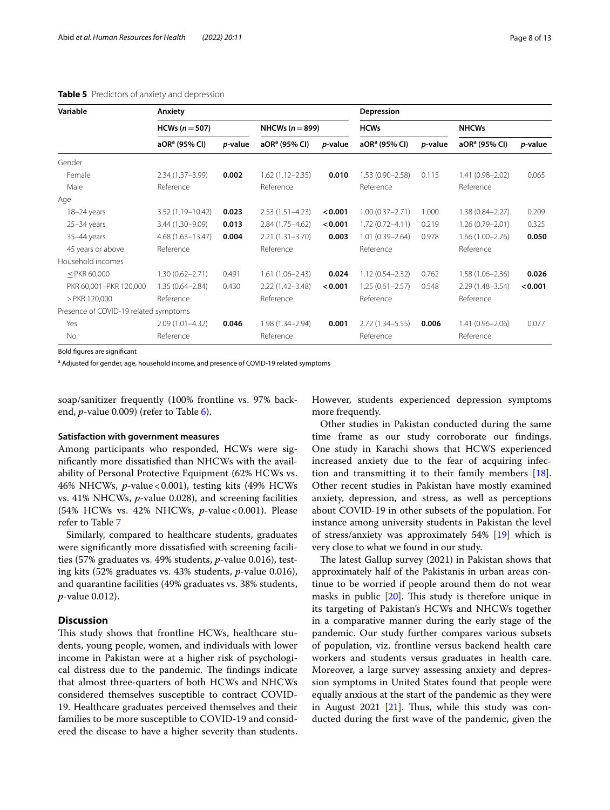| Variable                              | Anxiety                   |                 |                           |                 | Depression                |                 |                           |         |
|---------------------------------------|---------------------------|-----------------|---------------------------|-----------------|---------------------------|-----------------|---------------------------|---------|
|                                       | HCWs ( $n = 507$ )        |                 | NHCWs $(n=899)$           |                 | <b>HCWs</b>               |                 | <b>NHCWs</b>              |         |
|                                       | aOR <sup>a</sup> (95% CI) | <i>p</i> -value | aOR <sup>a</sup> (95% CI) | <i>p</i> -value | aOR <sup>a</sup> (95% CI) | <i>p</i> -value | aOR <sup>a</sup> (95% CI) | p-value |
| Gender                                |                           |                 |                           |                 |                           |                 |                           |         |
| Female                                | $2.34(1.37 - 3.99)$       | 0.002           | $1.62(1.12 - 2.35)$       | 0.010           | $1.53(0.90 - 2.58)$       | 0.115           | $1.41(0.98 - 2.02)$       | 0.065   |
| Male                                  | Reference                 |                 | Reference                 |                 | Reference                 |                 | Reference                 |         |
| Age                                   |                           |                 |                           |                 |                           |                 |                           |         |
| $18-24$ years                         | 3.52 (1.19-10.42)         | 0.023           | $2.53(1.51 - 4.23)$       | < 0.001         | $1.00(0.37 - 2.71)$       | 1.000           | $1.38(0.84 - 2.27)$       | 0.209   |
| $25 - 34$ years                       | 3.44 (1.30-9.09)          | 0.013           | $2.84(1.75 - 4.62)$       | < 0.001         | $1.72(0.72 - 4.11)$       | 0.219           | $1.26(0.79 - 2.01)$       | 0.325   |
| 35-44 years                           | $4.68(1.63 - 13.47)$      | 0.004           | $2.21(1.31 - 3.70)$       | 0.003           | $1.01(0.39 - 2.64)$       | 0.978           | $1.66(1.00 - 2.76)$       | 0.050   |
| 45 years or above                     | Reference                 |                 | Reference                 |                 | Reference                 |                 | Reference                 |         |
| Household incomes                     |                           |                 |                           |                 |                           |                 |                           |         |
| $<$ PKR 60,000                        | $1.30(0.62 - 2.71)$       | 0.491           | $1.61(1.06 - 2.43)$       | 0.024           | $1.12(0.54 - 2.32)$       | 0.762           | $1.58(1.06 - 2.36)$       | 0.026   |
| PKR 60,001-PKR 120,000                | $1.35(0.64 - 2.84)$       | 0.430           | $2.22(1.42 - 3.48)$       | < 0.001         | $1.25(0.61 - 2.57)$       | 0.548           | 2.29 (1.48-3.54)          | < 0.001 |
| > PKR 120,000                         | Reference                 |                 | Reference                 |                 | Reference                 |                 | Reference                 |         |
| Presence of COVID-19 related symptoms |                           |                 |                           |                 |                           |                 |                           |         |
| Yes                                   | $2.09(1.01 - 4.32)$       | 0.046           | $1.98(1.34 - 2.94)$       | 0.001           | $2.72(1.34 - 5.55)$       | 0.006           | $1.41(0.96 - 2.06)$       | 0.077   |
| <b>No</b>                             | Reference                 |                 | Reference                 |                 | Reference                 |                 | Reference                 |         |

#### <span id="page-9-0"></span>**Table 5** Predictors of anxiety and depression

Bold figures are significant

<sup>a</sup> Adjusted for gender, age, household income, and presence of COVID-19 related symptoms

soap/sanitizer frequently (100% frontline vs. 97% backend, *p*-value 0.009) (refer to Table [6](#page-10-0)).

#### **Satisfaction with government measures**

Among participants who responded, HCWs were signifcantly more dissatisfed than NHCWs with the availability of Personal Protective Equipment (62% HCWs vs. 46% NHCWs, *p*-value<0.001), testing kits (49% HCWs vs. 41% NHCWs, *p*-value 0.028), and screening facilities (54% HCWs vs. 42% NHCWs, *p*-value<0.001). Please refer to Table [7](#page-11-0)

Similarly, compared to healthcare students, graduates were signifcantly more dissatisfed with screening facilities (57% graduates vs. 49% students, *p*-value 0.016), testing kits (52% graduates vs. 43% students, *p*-value 0.016), and quarantine facilities (49% graduates vs. 38% students, *p*-value 0.012).

#### **Discussion**

This study shows that frontline HCWs, healthcare students, young people, women, and individuals with lower income in Pakistan were at a higher risk of psychological distress due to the pandemic. The findings indicate that almost three-quarters of both HCWs and NHCWs considered themselves susceptible to contract COVID-19. Healthcare graduates perceived themselves and their families to be more susceptible to COVID-19 and considered the disease to have a higher severity than students. However, students experienced depression symptoms more frequently.

Other studies in Pakistan conducted during the same time frame as our study corroborate our fndings. One study in Karachi shows that HCWS experienced increased anxiety due to the fear of acquiring infection and transmitting it to their family members [\[18](#page-13-18)]. Other recent studies in Pakistan have mostly examined anxiety, depression, and stress, as well as perceptions about COVID-19 in other subsets of the population. For instance among university students in Pakistan the level of stress/anxiety was approximately 54% [\[19](#page-14-0)] which is very close to what we found in our study.

The latest Gallup survey (2021) in Pakistan shows that approximately half of the Pakistanis in urban areas continue to be worried if people around them do not wear masks in public  $[20]$ . This study is therefore unique in its targeting of Pakistan's HCWs and NHCWs together in a comparative manner during the early stage of the pandemic. Our study further compares various subsets of population, viz. frontline versus backend health care workers and students versus graduates in health care. Moreover, a large survey assessing anxiety and depression symptoms in United States found that people were equally anxious at the start of the pandemic as they were in August 2021  $[21]$  $[21]$ . Thus, while this study was conducted during the frst wave of the pandemic, given the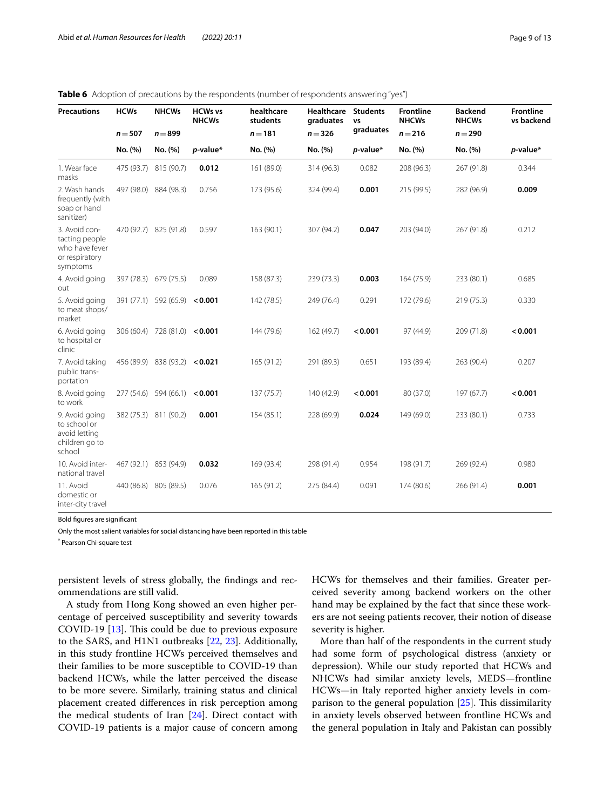| <b>Precautions</b>                                                              | <b>HCWs</b> | <b>NHCWs</b>                  | <b>HCWs vs</b><br><b>NHCWs</b> | healthcare<br>students | <b>Healthcare</b><br>graduates | <b>Students</b><br>VS | <b>Frontline</b><br><b>NHCWs</b> | <b>Backend</b><br><b>NHCWs</b> | <b>Frontline</b><br>vs backend |
|---------------------------------------------------------------------------------|-------------|-------------------------------|--------------------------------|------------------------|--------------------------------|-----------------------|----------------------------------|--------------------------------|--------------------------------|
|                                                                                 | $n = 507$   | $n = 899$                     |                                | $n = 181$              | $n = 326$                      | graduates             | $n = 216$                        | $n = 290$                      |                                |
|                                                                                 | No. (%)     | No. (%)                       | p-value*                       | No. (%)                | No. (%)                        | $p$ -value*           | No. (%)                          | No. (%)                        | $p$ -value*                    |
| 1. Wear face<br>masks                                                           | 475 (93.7)  | 815 (90.7)                    | 0.012                          | 161 (89.0)             | 314 (96.3)                     | 0.082                 | 208 (96.3)                       | 267 (91.8)                     | 0.344                          |
| 2. Wash hands<br>frequently (with<br>soap or hand<br>sanitizer)                 |             | 497 (98.0) 884 (98.3)         | 0.756                          | 173 (95.6)             | 324 (99.4)                     | 0.001                 | 215 (99.5)                       | 282 (96.9)                     | 0.009                          |
| 3. Avoid con-<br>tacting people<br>who have fever<br>or respiratory<br>symptoms |             | 470 (92.7) 825 (91.8)         | 0.597                          | 163(90.1)              | 307 (94.2)                     | 0.047                 | 203 (94.0)                       | 267 (91.8)                     | 0.212                          |
| 4. Avoid going<br>out                                                           |             | 397 (78.3) 679 (75.5)         | 0.089                          | 158 (87.3)             | 239 (73.3)                     | 0.003                 | 164 (75.9)                       | 233 (80.1)                     | 0.685                          |
| 5. Avoid going<br>to meat shops/<br>market                                      |             | 391 (77.1) 592 (65.9)         | < 0.001                        | 142 (78.5)             | 249 (76.4)                     | 0.291                 | 172 (79.6)                       | 219(75.3)                      | 0.330                          |
| 6. Avoid going<br>to hospital or<br>clinic                                      |             | 306 (60.4) 728 (81.0) < 0.001 |                                | 144 (79.6)             | 162 (49.7)                     | < 0.001               | 97 (44.9)                        | 209 (71.8)                     | < 0.001                        |
| 7. Avoid taking<br>public trans-<br>portation                                   |             | 456 (89.9) 838 (93.2) < 0.021 |                                | 165 (91.2)             | 291 (89.3)                     | 0.651                 | 193 (89.4)                       | 263 (90.4)                     | 0.207                          |
| 8. Avoid going<br>to work                                                       |             | 277 (54.6) 594 (66.1)         | < 0.001                        | 137 (75.7)             | 140 (42.9)                     | < 0.001               | 80 (37.0)                        | 197 (67.7)                     | < 0.001                        |
| 9. Avoid going<br>to school or<br>avoid letting<br>children go to<br>school     |             | 382 (75.3) 811 (90.2)         | 0.001                          | 154 (85.1)             | 228 (69.9)                     | 0.024                 | 149 (69.0)                       | 233 (80.1)                     | 0.733                          |
| 10. Avoid inter-<br>national travel                                             |             | 467 (92.1) 853 (94.9)         | 0.032                          | 169 (93.4)             | 298 (91.4)                     | 0.954                 | 198 (91.7)                       | 269 (92.4)                     | 0.980                          |
| 11. Avoid<br>domestic or<br>inter-city travel                                   | 440 (86.8)  | 805 (89.5)                    | 0.076                          | 165 (91.2)             | 275 (84.4)                     | 0.091                 | 174 (80.6)                       | 266 (91.4)                     | 0.001                          |

#### <span id="page-10-0"></span>**Table 6** Adoption of precautions by the respondents (number of respondents answering "yes")

Bold fgures are signifcant

Only the most salient variables for social distancing have been reported in this table

\* Pearson Chi-square test

persistent levels of stress globally, the fndings and recommendations are still valid.

A study from Hong Kong showed an even higher percentage of perceived susceptibility and severity towards COVID-19 [\[13](#page-13-11)]. This could be due to previous exposure to the SARS, and H1N1 outbreaks [[22,](#page-14-3) [23\]](#page-14-4). Additionally, in this study frontline HCWs perceived themselves and their families to be more susceptible to COVID-19 than backend HCWs, while the latter perceived the disease to be more severe. Similarly, training status and clinical placement created diferences in risk perception among the medical students of Iran [\[24](#page-14-5)]. Direct contact with COVID-19 patients is a major cause of concern among HCWs for themselves and their families. Greater perceived severity among backend workers on the other hand may be explained by the fact that since these workers are not seeing patients recover, their notion of disease severity is higher.

More than half of the respondents in the current study had some form of psychological distress (anxiety or depression). While our study reported that HCWs and NHCWs had similar anxiety levels, MEDS—frontline HCWs—in Italy reported higher anxiety levels in comparison to the general population  $[25]$  $[25]$  $[25]$ . This dissimilarity in anxiety levels observed between frontline HCWs and the general population in Italy and Pakistan can possibly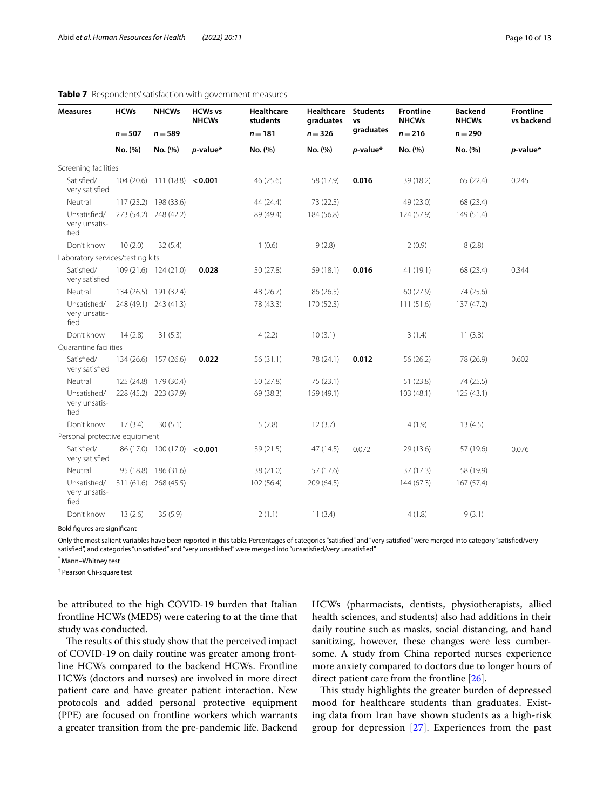| <b>Measures</b>                       | <b>HCWs</b> | <b>NHCWs</b>                          | <b>HCWs vs</b><br><b>NHCWs</b> | <b>Healthcare</b><br>students | <b>Healthcare</b><br>graduates | <b>Students</b><br><b>VS</b> | <b>Frontline</b><br><b>NHCWs</b> | <b>Backend</b><br><b>NHCWs</b> | Frontline<br>vs backend |
|---------------------------------------|-------------|---------------------------------------|--------------------------------|-------------------------------|--------------------------------|------------------------------|----------------------------------|--------------------------------|-------------------------|
|                                       | $n = 507$   | $n = 589$                             |                                | $n = 181$                     | $n = 326$                      | graduates                    | $n = 216$                        | $n = 290$                      |                         |
|                                       | No. (%)     | No. (%)                               | $p$ -value*                    | No. (%)                       | No. (%)                        | <i>p</i> -value*             | No. (%)                          | No. (%)                        | p-value*                |
| Screening facilities                  |             |                                       |                                |                               |                                |                              |                                  |                                |                         |
| Satisfied/<br>very satisfied          |             | $104(20.6)$ 111 (18.8) < <b>0.001</b> |                                | 46 (25.6)                     | 58 (17.9)                      | 0.016                        | 39 (18.2)                        | 65 (22.4)                      | 0.245                   |
| Neutral                               |             | 117 (23.2) 198 (33.6)                 |                                | 44 (24.4)                     | 73 (22.5)                      |                              | 49 (23.0)                        | 68 (23.4)                      |                         |
| Unsatisfied/<br>very unsatis-<br>fied |             | 273 (54.2) 248 (42.2)                 |                                | 89 (49.4)                     | 184 (56.8)                     |                              | 124 (57.9)                       | 149 (51.4)                     |                         |
| Don't know                            | 10(2.0)     | 32(5.4)                               |                                | 1(0.6)                        | 9(2.8)                         |                              | 2(0.9)                           | 8(2.8)                         |                         |
| Laboratory services/testing kits      |             |                                       |                                |                               |                                |                              |                                  |                                |                         |
| Satisfied/<br>very satisfied          |             | 109 (21.6) 124 (21.0)                 | 0.028                          | 50 (27.8)                     | 59 (18.1)                      | 0.016                        | 41 (19.1)                        | 68 (23.4)                      | 0.344                   |
| Neutral                               |             | 134 (26.5) 191 (32.4)                 |                                | 48 (26.7)                     | 86 (26.5)                      |                              | 60 (27.9)                        | 74 (25.6)                      |                         |
| Unsatisfied/<br>very unsatis-<br>fied |             | 248 (49.1) 243 (41.3)                 |                                | 78 (43.3)                     | 170 (52.3)                     |                              | 111(51.6)                        | 137 (47.2)                     |                         |
| Don't know                            | 14(2.8)     | 31(5.3)                               |                                | 4(2.2)                        | 10(3.1)                        |                              | 3(1.4)                           | 11(3.8)                        |                         |
| Quarantine facilities                 |             |                                       |                                |                               |                                |                              |                                  |                                |                         |
| Satisfied/<br>very satisfied          |             | 134 (26.6) 157 (26.6)                 | 0.022                          | 56 (31.1)                     | 78 (24.1)                      | 0.012                        | 56 (26.2)                        | 78 (26.9)                      | 0.602                   |
| Neutral                               |             | 125 (24.8) 179 (30.4)                 |                                | 50 (27.8)                     | 75 (23.1)                      |                              | 51 (23.8)                        | 74 (25.5)                      |                         |
| Unsatisfied/<br>very unsatis-<br>fied |             | 228 (45.2) 223 (37.9)                 |                                | 69 (38.3)                     | 159 (49.1)                     |                              | 103 (48.1)                       | 125 (43.1)                     |                         |
| Don't know                            | 17(3.4)     | 30(5.1)                               |                                | 5(2.8)                        | 12(3.7)                        |                              | 4(1.9)                           | 13(4.5)                        |                         |
| Personal protective equipment         |             |                                       |                                |                               |                                |                              |                                  |                                |                         |
| Satisfied/<br>very satisfied          |             | 86 (17.0) 100 (17.0) < 0.001          |                                | 39 (21.5)                     | 47 (14.5)                      | 0.072                        | 29 (13.6)                        | 57 (19.6)                      | 0.076                   |
| Neutral                               |             | 95 (18.8) 186 (31.6)                  |                                | 38 (21.0)                     | 57 (17.6)                      |                              | 37(17.3)                         | 58 (19.9)                      |                         |
| Unsatisfied/<br>very unsatis-<br>fied |             | 311 (61.6) 268 (45.5)                 |                                | 102 (56.4)                    | 209 (64.5)                     |                              | 144 (67.3)                       | 167 (57.4)                     |                         |
| Don't know                            | 13(2.6)     | 35(5.9)                               |                                | 2(1.1)                        | 11(3.4)                        |                              | 4(1.8)                           | 9(3.1)                         |                         |

#### <span id="page-11-0"></span>**Table 7** Respondents' satisfaction with government measures

Bold fgures are signifcant

Only the most salient variables have been reported in this table. Percentages of categories "satisfed" and "very satisfed" were merged into category "satisfed/very satisfed", and categories "unsatisfed" and "very unsatisfed" were merged into "unsatisfed/very unsatisfed"

\* Mann–Whitney test

† Pearson Chi-square test

be attributed to the high COVID-19 burden that Italian frontline HCWs (MEDS) were catering to at the time that study was conducted.

The results of this study show that the perceived impact of COVID-19 on daily routine was greater among frontline HCWs compared to the backend HCWs. Frontline HCWs (doctors and nurses) are involved in more direct patient care and have greater patient interaction. New protocols and added personal protective equipment (PPE) are focused on frontline workers which warrants a greater transition from the pre-pandemic life. Backend HCWs (pharmacists, dentists, physiotherapists, allied health sciences, and students) also had additions in their daily routine such as masks, social distancing, and hand sanitizing, however, these changes were less cumbersome. A study from China reported nurses experience more anxiety compared to doctors due to longer hours of direct patient care from the frontline [\[26\]](#page-14-7).

This study highlights the greater burden of depressed mood for healthcare students than graduates. Existing data from Iran have shown students as a high-risk group for depression [\[27\]](#page-14-8). Experiences from the past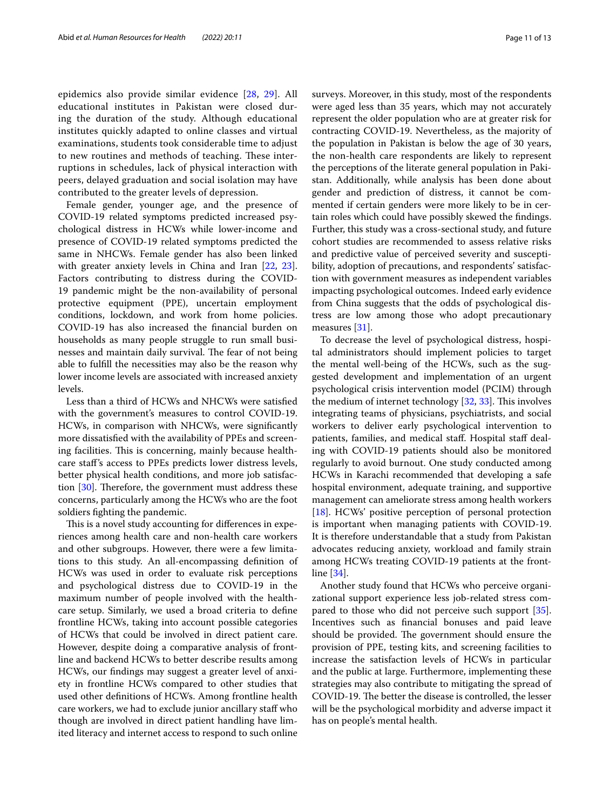epidemics also provide similar evidence [[28,](#page-14-9) [29\]](#page-14-10). All educational institutes in Pakistan were closed during the duration of the study. Although educational institutes quickly adapted to online classes and virtual examinations, students took considerable time to adjust to new routines and methods of teaching. These interruptions in schedules, lack of physical interaction with peers, delayed graduation and social isolation may have contributed to the greater levels of depression.

Female gender, younger age, and the presence of COVID-19 related symptoms predicted increased psychological distress in HCWs while lower-income and presence of COVID-19 related symptoms predicted the same in NHCWs. Female gender has also been linked with greater anxiety levels in China and Iran [[22,](#page-14-3) [23](#page-14-4)]. Factors contributing to distress during the COVID-19 pandemic might be the non-availability of personal protective equipment (PPE), uncertain employment conditions, lockdown, and work from home policies. COVID-19 has also increased the fnancial burden on households as many people struggle to run small businesses and maintain daily survival. The fear of not being able to fulfll the necessities may also be the reason why lower income levels are associated with increased anxiety levels.

Less than a third of HCWs and NHCWs were satisfed with the government's measures to control COVID-19. HCWs, in comparison with NHCWs, were signifcantly more dissatisfed with the availability of PPEs and screening facilities. This is concerning, mainly because healthcare staf's access to PPEs predicts lower distress levels, better physical health conditions, and more job satisfaction  $[30]$  $[30]$ . Therefore, the government must address these concerns, particularly among the HCWs who are the foot soldiers fghting the pandemic.

This is a novel study accounting for differences in experiences among health care and non-health care workers and other subgroups. However, there were a few limitations to this study. An all-encompassing defnition of HCWs was used in order to evaluate risk perceptions and psychological distress due to COVID-19 in the maximum number of people involved with the healthcare setup. Similarly, we used a broad criteria to defne frontline HCWs, taking into account possible categories of HCWs that could be involved in direct patient care. However, despite doing a comparative analysis of frontline and backend HCWs to better describe results among HCWs, our fndings may suggest a greater level of anxiety in frontline HCWs compared to other studies that used other defnitions of HCWs. Among frontline health care workers, we had to exclude junior ancillary staf who though are involved in direct patient handling have limited literacy and internet access to respond to such online surveys. Moreover, in this study, most of the respondents were aged less than 35 years, which may not accurately represent the older population who are at greater risk for contracting COVID-19. Nevertheless, as the majority of the population in Pakistan is below the age of 30 years, the non-health care respondents are likely to represent the perceptions of the literate general population in Pakistan. Additionally, while analysis has been done about gender and prediction of distress, it cannot be commented if certain genders were more likely to be in certain roles which could have possibly skewed the fndings. Further, this study was a cross-sectional study, and future cohort studies are recommended to assess relative risks and predictive value of perceived severity and susceptibility, adoption of precautions, and respondents' satisfaction with government measures as independent variables impacting psychological outcomes. Indeed early evidence from China suggests that the odds of psychological distress are low among those who adopt precautionary measures [[31\]](#page-14-12).

To decrease the level of psychological distress, hospital administrators should implement policies to target the mental well-being of the HCWs, such as the suggested development and implementation of an urgent psychological crisis intervention model (PCIM) through the medium of internet technology [\[32](#page-14-13), [33\]](#page-14-14). This involves integrating teams of physicians, psychiatrists, and social workers to deliver early psychological intervention to patients, families, and medical staff. Hospital staff dealing with COVID-19 patients should also be monitored regularly to avoid burnout. One study conducted among HCWs in Karachi recommended that developing a safe hospital environment, adequate training, and supportive management can ameliorate stress among health workers [[18\]](#page-13-18). HCWs' positive perception of personal protection is important when managing patients with COVID-19. It is therefore understandable that a study from Pakistan advocates reducing anxiety, workload and family strain among HCWs treating COVID-19 patients at the frontline [\[34](#page-14-15)].

Another study found that HCWs who perceive organizational support experience less job-related stress compared to those who did not perceive such support [\[35](#page-14-16)]. Incentives such as fnancial bonuses and paid leave should be provided. The government should ensure the provision of PPE, testing kits, and screening facilities to increase the satisfaction levels of HCWs in particular and the public at large. Furthermore, implementing these strategies may also contribute to mitigating the spread of COVID-19. The better the disease is controlled, the lesser will be the psychological morbidity and adverse impact it has on people's mental health.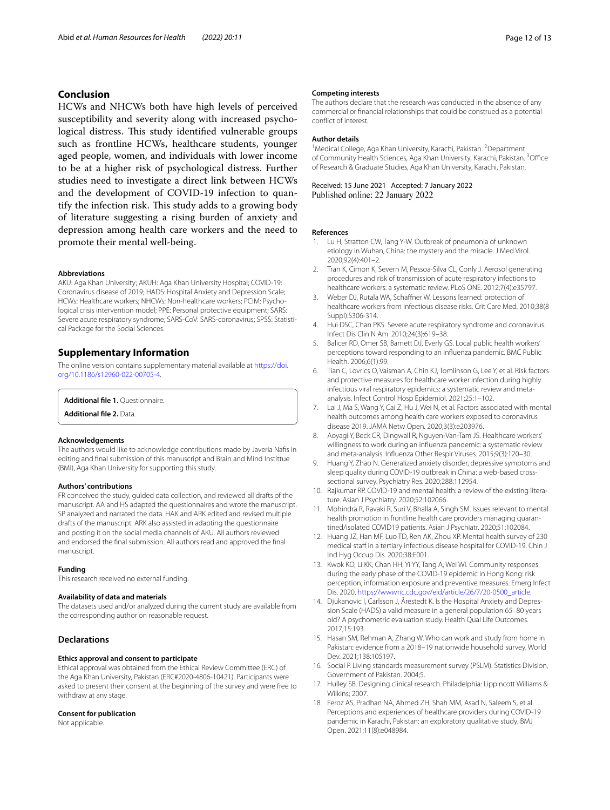#### **Conclusion**

HCWs and NHCWs both have high levels of perceived susceptibility and severity along with increased psychological distress. This study identified vulnerable groups such as frontline HCWs, healthcare students, younger aged people, women, and individuals with lower income to be at a higher risk of psychological distress. Further studies need to investigate a direct link between HCWs and the development of COVID-19 infection to quantify the infection risk. This study adds to a growing body of literature suggesting a rising burden of anxiety and depression among health care workers and the need to promote their mental well-being.

#### **Abbreviations**

AKU: Aga Khan University; AKUH: Aga Khan University Hospital; COVID-19: Coronavirus disease of 2019; HADS: Hospital Anxiety and Depression Scale; HCWs: Healthcare workers; NHCWs: Non-healthcare workers; PCIM: Psychological crisis intervention model; PPE: Personal protective equipment; SARS: Severe acute respiratory syndrome; SARS-CoV: SARS-coronavirus; SPSS: Statistical Package for the Social Sciences.

#### **Supplementary Information**

The online version contains supplementary material available at [https://doi.](https://doi.org/10.1186/s12960-022-00705-4) [org/10.1186/s12960-022-00705-4](https://doi.org/10.1186/s12960-022-00705-4).

#### <span id="page-13-17"></span><span id="page-13-12"></span>**Additional fle 1.** Questionnaire.

**Additional fle 2.** Data.

#### **Acknowledgements**

The authors would like to acknowledge contributions made by Javeria Nafs in editing and fnal submission of this manuscript and Brain and Mind Instittue (BMI), Aga Khan University for supporting this study.

#### **Authors' contributions**

FR conceived the study, guided data collection, and reviewed all drafts of the manuscript. AA and HS adapted the questionnaires and wrote the manuscript. SP analyzed and narrated the data. HAK and ARK edited and revised multiple drafts of the manuscript. ARK also assisted in adapting the questionnaire and posting it on the social media channels of AKU. All authors reviewed and endorsed the fnal submission. All authors read and approved the fnal manuscript.

#### **Funding**

This research received no external funding.

#### **Availability of data and materials**

The datasets used and/or analyzed during the current study are available from the corresponding author on reasonable request.

#### **Declarations**

#### **Ethics approval and consent to participate**

Ethical approval was obtained from the Ethical Review Committee (ERC) of the Aga Khan University, Pakistan (ERC#2020-4806-10421). Participants were asked to present their consent at the beginning of the survey and were free to withdraw at any stage.

#### **Consent for publication**

Not applicable.

#### **Competing interests**

The authors declare that the research was conducted in the absence of any commercial or fnancial relationships that could be construed as a potential confict of interest.

#### **Author details**

<sup>1</sup> Medical College, Aga Khan University, Karachi, Pakistan. <sup>2</sup> Department of Community Health Sciences, Aga Khan University, Karachi, Pakistan. <sup>3</sup>Office of Research & Graduate Studies, Aga Khan University, Karachi, Pakistan.

Received: 15 June 2021 Accepted: 7 January 2022<br>Published online: 22 January 2022

#### **References**

- <span id="page-13-0"></span>1. Lu H, Stratton CW, Tang Y-W. Outbreak of pneumonia of unknown etiology in Wuhan, China: the mystery and the miracle. J Med Virol. 2020;92(4):401–2.
- <span id="page-13-1"></span>2. Tran K, Cimon K, Severn M, Pessoa-Silva CL, Conly J. Aerosol generating procedures and risk of transmission of acute respiratory infections to healthcare workers: a systematic review. PLoS ONE. 2012;7(4):e35797.
- Weber DJ, Rutala WA, Schaffner W. Lessons learned: protection of healthcare workers from infectious disease risks. Crit Care Med. 2010;38(8 Suppl):S306-314.
- <span id="page-13-2"></span>4. Hui DSC, Chan PKS. Severe acute respiratory syndrome and coronavirus. Infect Dis Clin N Am. 2010;24(3):619–38.
- <span id="page-13-3"></span>5. Balicer RD, Omer SB, Barnett DJ, Everly GS. Local public health workers' perceptions toward responding to an infuenza pandemic. BMC Public Health. 2006;6(1):99.
- <span id="page-13-4"></span>6. Tian C, Lovrics O, Vaisman A, Chin KJ, Tomlinson G, Lee Y, et al. Risk factors and protective measures for healthcare worker infection during highly infectious viral respiratory epidemics: a systematic review and metaanalysis. Infect Control Hosp Epidemiol. 2021;25:1–102.
- <span id="page-13-5"></span>7. Lai J, Ma S, Wang Y, Cai Z, Hu J, Wei N, et al. Factors associated with mental health outcomes among health care workers exposed to coronavirus disease 2019. JAMA Netw Open. 2020;3(3):e203976.
- <span id="page-13-6"></span>8. Aoyagi Y, Beck CR, Dingwall R, Nguyen-Van-Tam JS. Healthcare workers' willingness to work during an infuenza pandemic: a systematic review and meta-analysis. Infuenza Other Respir Viruses. 2015;9(3):120–30.
- <span id="page-13-7"></span>9. Huang Y, Zhao N. Generalized anxiety disorder, depressive symptoms and sleep quality during COVID-19 outbreak in China: a web-based crosssectional survey. Psychiatry Res. 2020;288:112954.
- <span id="page-13-8"></span>10. Rajkumar RP. COVID-19 and mental health: a review of the existing literature. Asian J Psychiatry. 2020;52:102066.
- <span id="page-13-9"></span>11. Mohindra R, Ravaki R, Suri V, Bhalla A, Singh SM. Issues relevant to mental health promotion in frontline health care providers managing quarantined/isolated COVID19 patients. Asian J Psychiatr. 2020;51:102084.
- <span id="page-13-10"></span>12. Huang JZ, Han MF, Luo TD, Ren AK, Zhou XP. Mental health survey of 230 medical staff in a tertiary infectious disease hospital for COVID-19. Chin J Ind Hyg Occup Dis. 2020;38:E001.
- <span id="page-13-11"></span>13. Kwok KO, Li KK, Chan HH, Yi YY, Tang A, Wei WI. Community responses during the early phase of the COVID-19 epidemic in Hong Kong: risk perception, information exposure and preventive measures. Emerg Infect Dis. 2020. [https://wwwnc.cdc.gov/eid/article/26/7/20-0500\\_article.](https://wwwnc.cdc.gov/eid/article/26/7/20-0500_article)
- <span id="page-13-13"></span>14. Djukanovic I, Carlsson J, Årestedt K. Is the Hospital Anxiety and Depression Scale (HADS) a valid measure in a general population 65–80 years old? A psychometric evaluation study. Health Qual Life Outcomes. 2017;15:193.
- <span id="page-13-14"></span>15. Hasan SM, Rehman A, Zhang W. Who can work and study from home in Pakistan: evidence from a 2018–19 nationwide household survey. World Dev. 2021;138:105197.
- <span id="page-13-15"></span>16. Social P. Living standards measurement survey (PSLM). Statistics Division, Government of Pakistan. 2004;5.
- <span id="page-13-16"></span>17. Hulley SB. Designing clinical research. Philadelphia: Lippincott Williams & Wilkins; 2007.
- <span id="page-13-18"></span>18. Feroz AS, Pradhan NA, Ahmed ZH, Shah MM, Asad N, Saleem S, et al. Perceptions and experiences of healthcare providers during COVID-19 pandemic in Karachi, Pakistan: an exploratory qualitative study. BMJ Open. 2021;11(8):e048984.